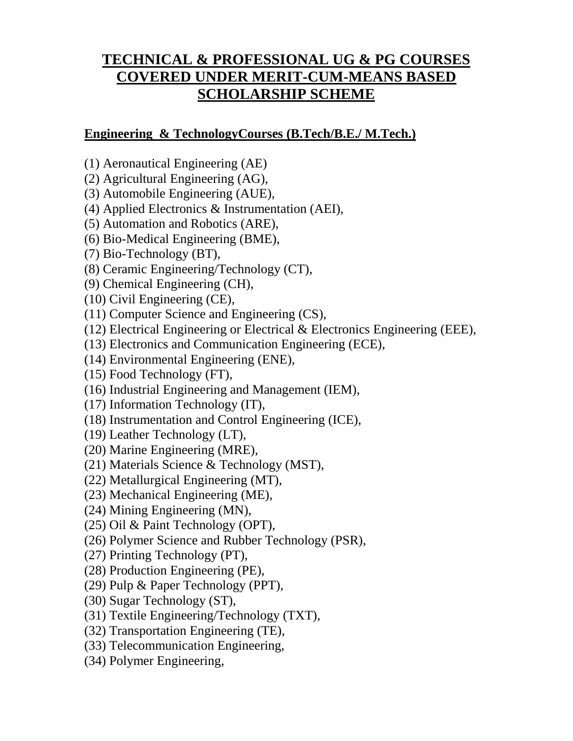# **TECHNICAL & PROFESSIONAL UG & PG COURSES COVERED UNDER MERIT-CUM-MEANS BASED SCHOLARSHIP SCHEME**

#### **Engineering & TechnologyCourses (B.Tech/B.E./ M.Tech.)**

- (1) Aeronautical Engineering (AE)
- (2) Agricultural Engineering (AG),
- (3) Automobile Engineering (AUE),
- (4) Applied Electronics & Instrumentation (AEI),
- (5) Automation and Robotics (ARE),
- (6) Bio-Medical Engineering (BME),
- (7) Bio-Technology (BT),
- (8) Ceramic Engineering/Technology (CT),
- (9) Chemical Engineering (CH),
- (10) Civil Engineering (CE),
- (11) Computer Science and Engineering (CS),
- (12) Electrical Engineering or Electrical & Electronics Engineering (EEE),
- (13) Electronics and Communication Engineering (ECE),
- (14) Environmental Engineering (ENE),
- (15) Food Technology (FT),
- (16) Industrial Engineering and Management (IEM),
- (17) Information Technology (IT),
- (18) Instrumentation and Control Engineering (ICE),
- (19) Leather Technology (LT),
- (20) Marine Engineering (MRE),
- (21) Materials Science & Technology (MST),
- (22) Metallurgical Engineering (MT),
- (23) Mechanical Engineering (ME),
- (24) Mining Engineering (MN),
- (25) Oil & Paint Technology (OPT),
- (26) Polymer Science and Rubber Technology (PSR),
- (27) Printing Technology (PT),
- (28) Production Engineering (PE),
- (29) Pulp & Paper Technology (PPT),
- (30) Sugar Technology (ST),
- (31) Textile Engineering/Technology (TXT),
- (32) Transportation Engineering (TE),
- (33) Telecommunication Engineering,
- (34) Polymer Engineering,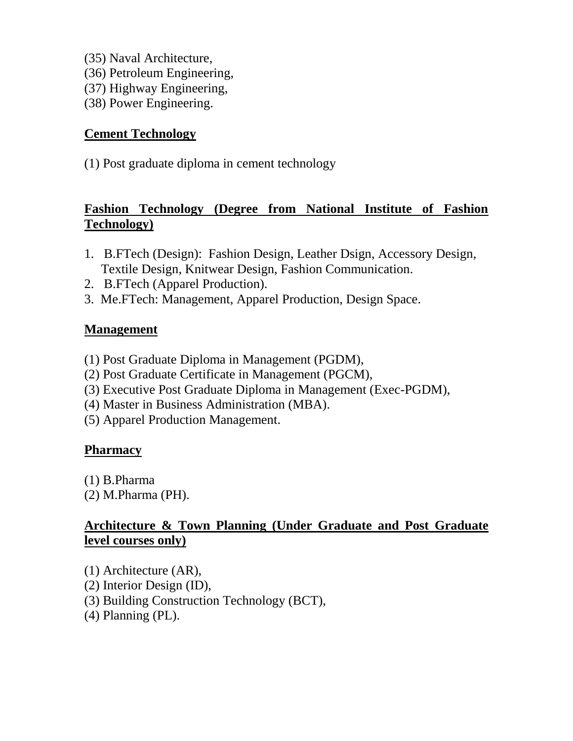- (35) Naval Architecture,
- (36) Petroleum Engineering,
- (37) Highway Engineering,
- (38) Power Engineering.

#### **Cement Technology**

(1) Post graduate diploma in cement technology

## **Fashion Technology (Degree from National Institute of Fashion Technology)**

- 1. B.FTech (Design): Fashion Design, Leather Dsign, Accessory Design, Textile Design, Knitwear Design, Fashion Communication.
- 2. B.FTech (Apparel Production).
- 3. Me.FTech: Management, Apparel Production, Design Space.

#### **Management**

- (1) Post Graduate Diploma in Management (PGDM),
- (2) Post Graduate Certificate in Management (PGCM),
- (3) Executive Post Graduate Diploma in Management (Exec-PGDM),
- (4) Master in Business Administration (MBA).
- (5) Apparel Production Management.

## **Pharmacy**

- (1) B.Pharma
- (2) M.Pharma (PH).

## **Architecture & Town Planning (Under Graduate and Post Graduate level courses only)**

- (1) Architecture (AR),
- (2) Interior Design (ID),
- (3) Building Construction Technology (BCT),
- (4) Planning (PL).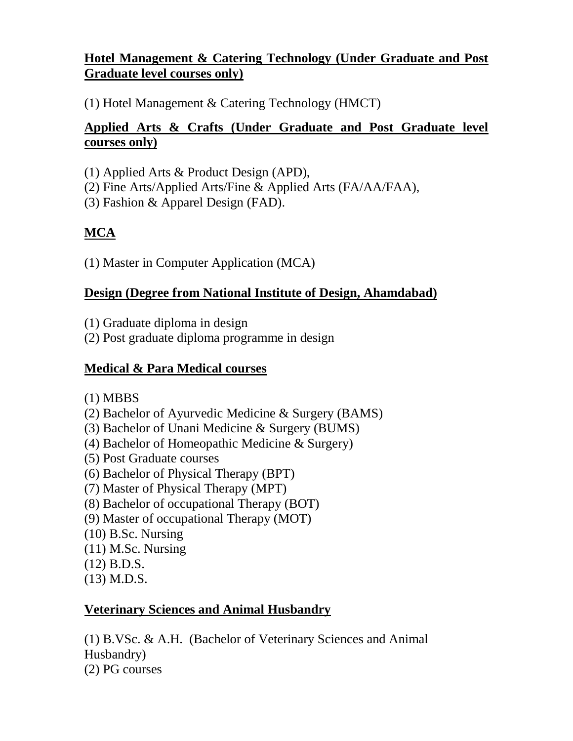## **Hotel Management & Catering Technology (Under Graduate and Post Graduate level courses only)**

(1) Hotel Management & Catering Technology (HMCT)

## **Applied Arts & Crafts (Under Graduate and Post Graduate level courses only)**

- (1) Applied Arts & Product Design (APD),
- (2) Fine Arts/Applied Arts/Fine & Applied Arts (FA/AA/FAA),
- (3) Fashion & Apparel Design (FAD).

# **MCA**

(1) Master in Computer Application (MCA)

## **Design (Degree from National Institute of Design, Ahamdabad)**

- (1) Graduate diploma in design
- (2) Post graduate diploma programme in design

# **Medical & Para Medical courses**

- (1) MBBS
- (2) Bachelor of Ayurvedic Medicine & Surgery (BAMS)
- (3) Bachelor of Unani Medicine & Surgery (BUMS)
- (4) Bachelor of Homeopathic Medicine & Surgery)
- (5) Post Graduate courses
- (6) Bachelor of Physical Therapy (BPT)
- (7) Master of Physical Therapy (MPT)
- (8) Bachelor of occupational Therapy (BOT)
- (9) Master of occupational Therapy (MOT)
- (10) B.Sc. Nursing
- $(11)$  M.Sc. Nursing
- (12) B.D.S.
- (13) M.D.S.

## **Veterinary Sciences and Animal Husbandry**

(1) B.VSc. & A.H. (Bachelor of Veterinary Sciences and Animal Husbandry) (2) PG courses